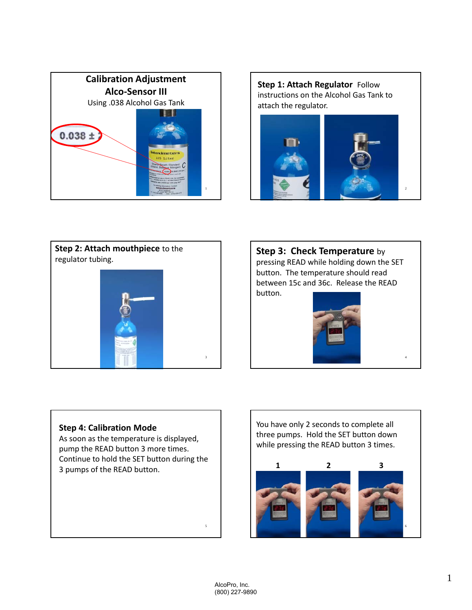





**Step 3: Check Temperature** by pressing READ while holding down the SET button. The temperature should read between 15c and 36c. Release the READ button.



4

## **Step 4: Calibration Mode**

As soon as the temperature is displayed, pump the READ button 3 more times. Continue to hold the SET button during the 3 pumps of the READ button.

You have only 2 seconds to complete all three pumps. Hold the SET button down while pressing the READ button 3 times.



5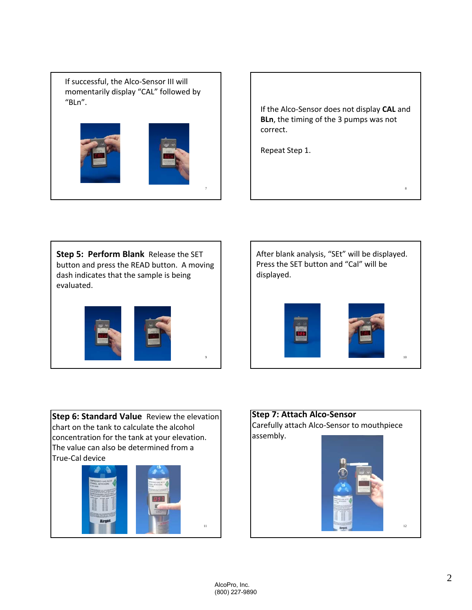If successful, the Alco‐Sensor III will momentarily display "CAL" followed by "BLn".



If the Alco‐Sensor does not display **CAL** and **BLn**, the timing of the 3 pumps was not correct.

8

Repeat Step 1.

**Step 5: Perform Blank** Release the SET button and press the READ button. A moving dash indicates that the sample is being evaluated.



After blank analysis, "SEt" will be displayed. Press the SET button and "Cal" will be displayed.



**Step 6: Standard Value** Review the elevation chart on the tank to calculate the alcohol concentration for the tank at your elevation. The value can also be determined from a True‐Cal device